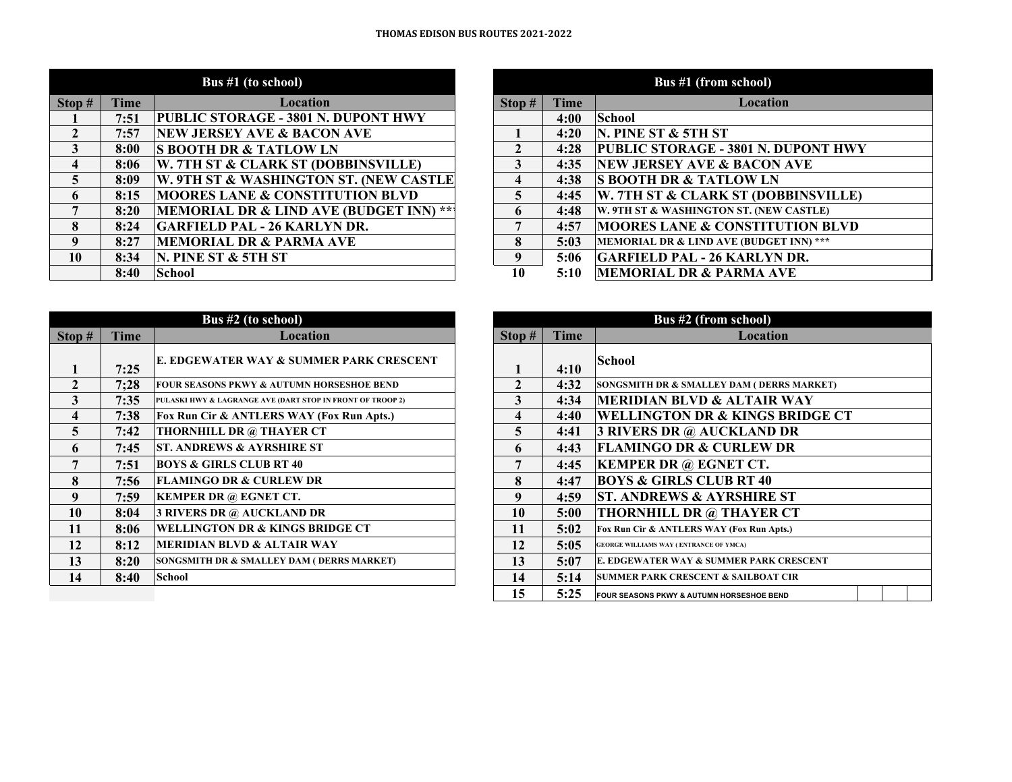| Stop $#$                | <b>Time</b> | Location                                   | Stop#                   | <b>Time</b> |
|-------------------------|-------------|--------------------------------------------|-------------------------|-------------|
|                         | 7:51        | <b>PUBLIC STORAGE - 3801 N. DUPONT HWY</b> |                         | 4:00        |
| $\mathbf{2}$            | 7:57        | <b>NEW JERSEY AVE &amp; BACON AVE</b>      |                         | 4:20        |
| 3                       | 8:00        | <b>S BOOTH DR &amp; TATLOW LN</b>          | 2                       | 4:28        |
| $\boldsymbol{4}$        | 8:06        | W. 7TH ST & CLARK ST (DOBBINSVILLE)        | 3                       | 4:35        |
| $\overline{\mathbf{5}}$ | 8:09        | W. 9TH ST & WASHINGTON ST. (NEW CASTLE     | 4                       | 4:38        |
| 6                       | 8:15        | <b>MOORES LANE &amp; CONSTITUTION BLVD</b> | $\overline{\mathbf{5}}$ | 4:45        |
| 7                       | 8:20        | MEMORIAL DR & LIND AVE (BUDGET INN) ***    | 6                       | 4:48        |
| 8                       | 8:24        | <b>GARFIELD PAL - 26 KARLYN DR.</b>        | 7                       | 4:57        |
| 9                       | 8:27        | <b>MEMORIAL DR &amp; PARMA AVE</b>         | 8                       | 5:03        |
| 10                      | 8:34        | N. PINE ST & 5TH ST                        | 9                       | 5:06        |
|                         | 8:40        | <b>School</b>                              | 10                      | 5:10        |

| Bus #1 (from school) |             |                                            |  |  |
|----------------------|-------------|--------------------------------------------|--|--|
| Stop#                | <b>Time</b> | Location                                   |  |  |
|                      | 4:00        | School                                     |  |  |
|                      | 4:20        | N. PINE ST & 5TH ST                        |  |  |
| $\mathbf{2}$         | 4:28        | PUBLIC STORAGE - 3801 N. DUPONT HWY        |  |  |
| 3                    | 4:35        | <b> NEW JERSEY AVE &amp; BACON AVE</b>     |  |  |
| 4                    | 4:38        | <b>S BOOTH DR &amp; TATLOW LN</b>          |  |  |
| 5                    | 4:45        | W. 7TH ST & CLARK ST (DOBBINSVILLE)        |  |  |
| 6                    | 4:48        | W. 9TH ST & WASHINGTON ST. (NEW CASTLE)    |  |  |
| 7                    | 4:57        | <b>MOORES LANE &amp; CONSTITUTION BLVD</b> |  |  |
| 8                    | 5:03        | MEMORIAL DR & LIND AVE (BUDGET INN) ***    |  |  |
| 9                    | 5:06        | <b>GARFIELD PAL - 26 KARLYN DR.</b>        |  |  |
| 10                   | 5:10        | <b>MEMORIAL DR &amp; PARMA AVE</b>         |  |  |

|                         |             | <b>Bus #2 (to school)</b>                                  |        |      |
|-------------------------|-------------|------------------------------------------------------------|--------|------|
| Stop#                   | <b>Time</b> | Location                                                   | Stop # | Time |
|                         | 7:25        | E. EDGEWATER WAY & SUMMER PARK CRESCENT                    |        | 4:10 |
| 2                       | 7:28        | <b>FOUR SEASONS PKWY &amp; AUTUMN HORSESHOE BEND</b>       | 2      | 4:32 |
| 3                       | 7:35        | PULASKI HWY & LAGRANGE AVE (DART STOP IN FRONT OF TROOP 2) | 3      | 4:34 |
| $\overline{\mathbf{4}}$ | 7:38        | Fox Run Cir & ANTLERS WAY (Fox Run Apts.)                  | 4      | 4:40 |
| 5                       | 7:42        | THORNHILL DR @ THAYER CT                                   | 5      | 4:41 |
| 6                       | 7:45        | <b>ST. ANDREWS &amp; AYRSHIRE ST</b>                       | 6      | 4:43 |
| 7                       | 7:51        | <b>BOYS &amp; GIRLS CLUB RT 40</b>                         | 7      | 4:45 |
| 8                       | 7:56        | <b>FLAMINGO DR &amp; CURLEW DR</b>                         | 8      | 4:47 |
| 9                       | 7:59        | <b>KEMPER DR @ EGNET CT.</b>                               | 9      | 4:59 |
| 10                      | 8:04        | <b>3 RIVERS DR @ AUCKLAND DR</b>                           | 10     | 5:00 |
| 11                      | 8:06        | <b>WELLINGTON DR &amp; KINGS BRIDGE CT</b>                 | 11     | 5:02 |
| 12                      | 8:12        | <b>MERIDIAN BLVD &amp; ALTAIR WAY</b>                      | 12     | 5:05 |
| 13                      | 8:20        | SONGSMITH DR & SMALLEY DAM ( DERRS MARKET)                 | 13     | 5:07 |
| 14                      | 8:40        | <b>School</b>                                              | 14     | 5:14 |
|                         |             |                                                            | - -    |      |

| <b>Bus #2 (from school)</b> |      |                                                      |  |  |  |
|-----------------------------|------|------------------------------------------------------|--|--|--|
| Stop#                       | Time | <b>Location</b>                                      |  |  |  |
| 1                           | 4:10 | School                                               |  |  |  |
| $\mathbf{2}$                | 4:32 | SONGSMITH DR & SMALLEY DAM (DERRS MARKET)            |  |  |  |
| 3                           | 4:34 | <b>MERIDIAN BLVD &amp; ALTAIR WAY</b>                |  |  |  |
| $\overline{\mathbf{4}}$     | 4:40 | WELLINGTON DR & KINGS BRIDGE CT                      |  |  |  |
| 5                           | 4:41 | <b>3 RIVERS DR @ AUCKLAND DR</b>                     |  |  |  |
| 6                           | 4:43 | <b>FLAMINGO DR &amp; CURLEW DR</b>                   |  |  |  |
| 7                           | 4:45 | <b>KEMPER DR @ EGNET CT.</b>                         |  |  |  |
| 8                           | 4:47 | <b>BOYS &amp; GIRLS CLUB RT 40</b>                   |  |  |  |
| 9                           | 4:59 | <b>ST. ANDREWS &amp; AYRSHIRE ST</b>                 |  |  |  |
| 10                          | 5:00 | <b>THORNHILL DR @ THAYER CT</b>                      |  |  |  |
| 11                          | 5:02 | Fox Run Cir & ANTLERS WAY (Fox Run Apts.)            |  |  |  |
| 12                          | 5:05 | <b>GEORGE WILLIAMS WAY (ENTRANCE OF YMCA)</b>        |  |  |  |
| 13                          | 5:07 | E. EDGEWATER WAY & SUMMER PARK CRESCENT              |  |  |  |
| 14                          | 5:14 | <b>SUMMER PARK CRESCENT &amp; SAILBOAT CIR</b>       |  |  |  |
| 15                          | 5:25 | <b>FOUR SEASONS PKWY &amp; AUTUMN HORSESHOE BEND</b> |  |  |  |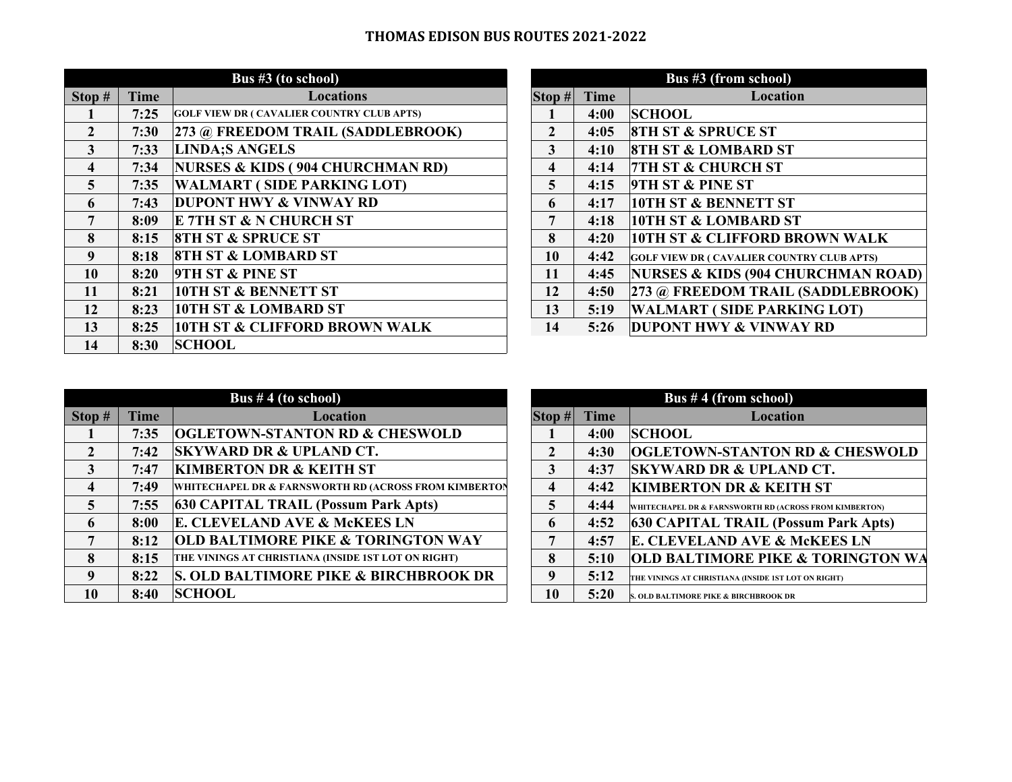## **THOMAS EDISON BUS ROUTES 2021‐2022**

|                |             | Bus $#3$ (to school)                              |                    |             | Bus #3 (from school)               |
|----------------|-------------|---------------------------------------------------|--------------------|-------------|------------------------------------|
| Stop $#$       | <b>Time</b> | <b>Locations</b>                                  | $\textbf{Stop} \#$ | <b>Time</b> | Locati                             |
|                | 7:25        | <b>GOLF VIEW DR ( CAVALIER COUNTRY CLUB APTS)</b> |                    | 4:00        | <b>SCHOOL</b>                      |
| $\overline{2}$ | 7:30        | 273 @ FREEDOM TRAIL (SADDLEBROOK)                 | $\overline{2}$     | 4:05        | <b>8TH ST &amp; SPRUCE ST</b>      |
| 3              | 7:33        | <b>LINDA;S ANGELS</b>                             | 3                  | 4:10        | <b>8TH ST &amp; LOMBARD ST</b>     |
| 4              | 7:34        | NURSES & KIDS (904 CHURCHMAN RD)                  | 4                  | 4:14        | <b>7TH ST &amp; CHURCH ST</b>      |
| $\overline{5}$ | 7:35        | <b>WALMART (SIDE PARKING LOT)</b>                 | 5                  | 4:15        | <b>9TH ST &amp; PINE ST</b>        |
| 6              | 7:43        | <b>DUPONT HWY &amp; VINWAY RD</b>                 | 6                  | 4:17        | <b>10TH ST &amp; BENNETT ST</b>    |
| 7              | 8:09        | <b>E 7TH ST &amp; N CHURCH ST</b>                 | 7                  | 4:18        | <b>10TH ST &amp; LOMBARD S</b>     |
| 8              | 8:15        | <b>8TH ST &amp; SPRUCE ST</b>                     | 8                  | 4:20        | <b>10TH ST &amp; CLIFFORD E</b>    |
| $\overline{9}$ | 8:18        | <b>8TH ST &amp; LOMBARD ST</b>                    | 10                 | 4:42        | <b>GOLF VIEW DR ( CAVALIER COU</b> |
| 10             | 8:20        | <b>9TH ST &amp; PINE ST</b>                       | 11                 | 4:45        | <b>NURSES &amp; KIDS (904 CH</b>   |
| 11             | 8:21        | <b>10TH ST &amp; BENNETT ST</b>                   | 12                 | 4:50        | 273 @ FREEDOM TRAII                |
| 12             | 8:23        | <b>10TH ST &amp; LOMBARD ST</b>                   | 13                 | 5:19        | <b>WALMART (SIDE PARI</b>          |
| 13             | 8:25        | <b>10TH ST &amp; CLIFFORD BROWN WALK</b>          | 14                 | 5:26        | <b>DUPONT HWY &amp; VINW</b>       |
| 14             | 8:30        | <b>SCHOOL</b>                                     |                    |             |                                    |

|              |              |             | Bus #3 (from school)                              |
|--------------|--------------|-------------|---------------------------------------------------|
|              | Stop #       | <b>Time</b> | Location                                          |
|              |              | 4:00        | <b>SCHOOL</b>                                     |
| <b>200K)</b> | $\mathbf{2}$ | 4:05        | <b>8TH ST &amp; SPRUCE ST</b>                     |
|              | 3            | 4:10        | <b>8TH ST &amp; LOMBARD ST</b>                    |
| RD)          | 4            | 4:14        | <b>7TH ST &amp; CHURCH ST</b>                     |
|              | 5            | 4:15        | <b>9TH ST &amp; PINE ST</b>                       |
|              | 6            | 4:17        | <b>10TH ST &amp; BENNETT ST</b>                   |
|              | 7            | 4:18        | <b>10TH ST &amp; LOMBARD ST</b>                   |
|              | 8            | 4:20        | <b>10TH ST &amp; CLIFFORD BROWN WALK</b>          |
|              | 10           | 4:42        | <b>GOLF VIEW DR ( CAVALIER COUNTRY CLUB APTS)</b> |
|              | 11           | 4:45        | NURSES & KIDS (904 CHURCHMAN ROAD)                |
|              | 12           | 4:50        | 273 @ FREEDOM TRAIL (SADDLEBROOK)                 |
|              | 13           | 5:19        | <b>WALMART (SIDE PARKING LOT)</b>                 |
| K            | 14           | 5:26        | <b>DUPONT HWY &amp; VINWAY RD</b>                 |

|                         |      | Bus $# 4$ (to school)                                            |                    |             | <b>Bus</b>            |
|-------------------------|------|------------------------------------------------------------------|--------------------|-------------|-----------------------|
| Stop#                   | Time | <b>Location</b>                                                  | $\textbf{Stop} \#$ | <b>Time</b> |                       |
|                         | 7:35 | <b>OGLETOWN-STANTON RD &amp; CHESWOLD</b>                        |                    | 4:00        | <b>SCHOOL</b>         |
| $\overline{2}$          | 7:42 | <b>SKYWARD DR &amp; UPLAND CT.</b>                               | 2                  | 4:30        | <b>OGLETO</b>         |
| 3                       | 7:47 | <b>KIMBERTON DR &amp; KEITH ST</b>                               | 3                  | 4:37        | <b>SKYWAF</b>         |
| $\overline{\mathbf{4}}$ | 7:49 | <b>WHITECHAPEL DR &amp; FARNSWORTH RD (ACROSS FROM KIMBERTON</b> | 4                  | 4:42        | <b>KIMBER</b>         |
| 5                       | 7:55 | <b>630 CAPITAL TRAIL (Possum Park Apts)</b>                      | 5                  | 4:44        | WHITECHAPEL I         |
| 6                       | 8:00 | E. CLEVELAND AVE & McKEES LN                                     | 6                  | 4:52        | <b>630 CAPI</b>       |
| 7                       | 8:12 | <b>OLD BALTIMORE PIKE &amp; TORINGTON WAY</b>                    | 7                  | 4:57        | E. CLEVI              |
| 8                       | 8:15 | THE VININGS AT CHRISTIANA (INSIDE 1ST LOT ON RIGHT)              | 8                  | 5:10        | <b>OLD BAI</b>        |
| 9                       | 8:22 | <b>S. OLD BALTIMORE PIKE &amp; BIRCHBROOK DR</b>                 | 9                  | 5:12        | THE VININGS AT        |
| 10                      | 8:40 | <b>SCHOOL</b>                                                    | 10                 | 5:20        | <b>S. OLD BALTIMO</b> |

| Bus $# 4$ (from school) |             |                                                        |  |  |  |
|-------------------------|-------------|--------------------------------------------------------|--|--|--|
| Stop#                   | <b>Time</b> | <b>Location</b>                                        |  |  |  |
|                         | 4:00        | <b>SCHOOL</b>                                          |  |  |  |
| $\mathbf{2}$            | 4:30        | <b>OGLETOWN-STANTON RD &amp; CHESWOLD</b>              |  |  |  |
| 3                       | 4:37        | <b>SKYWARD DR &amp; UPLAND CT.</b>                     |  |  |  |
| 4                       | 4:42        | <b>KIMBERTON DR &amp; KEITH ST</b>                     |  |  |  |
| 5                       | 4:44        | WHITECHAPEL DR & FARNSWORTH RD (ACROSS FROM KIMBERTON) |  |  |  |
| 6                       | 4:52        | <b>630 CAPITAL TRAIL (Possum Park Apts)</b>            |  |  |  |
| 7                       | 4:57        | E. CLEVELAND AVE & McKEES LN                           |  |  |  |
| 8                       | 5:10        | <b>OLD BALTIMORE PIKE &amp; TORINGTON WA</b>           |  |  |  |
| 9                       | 5:12        | THE VININGS AT CHRISTIANA (INSIDE 1ST LOT ON RIGHT)    |  |  |  |
| 10                      | 5:20        | <b>S. OLD BALTIMORE PIKE &amp; BIRCHBROOK DR</b>       |  |  |  |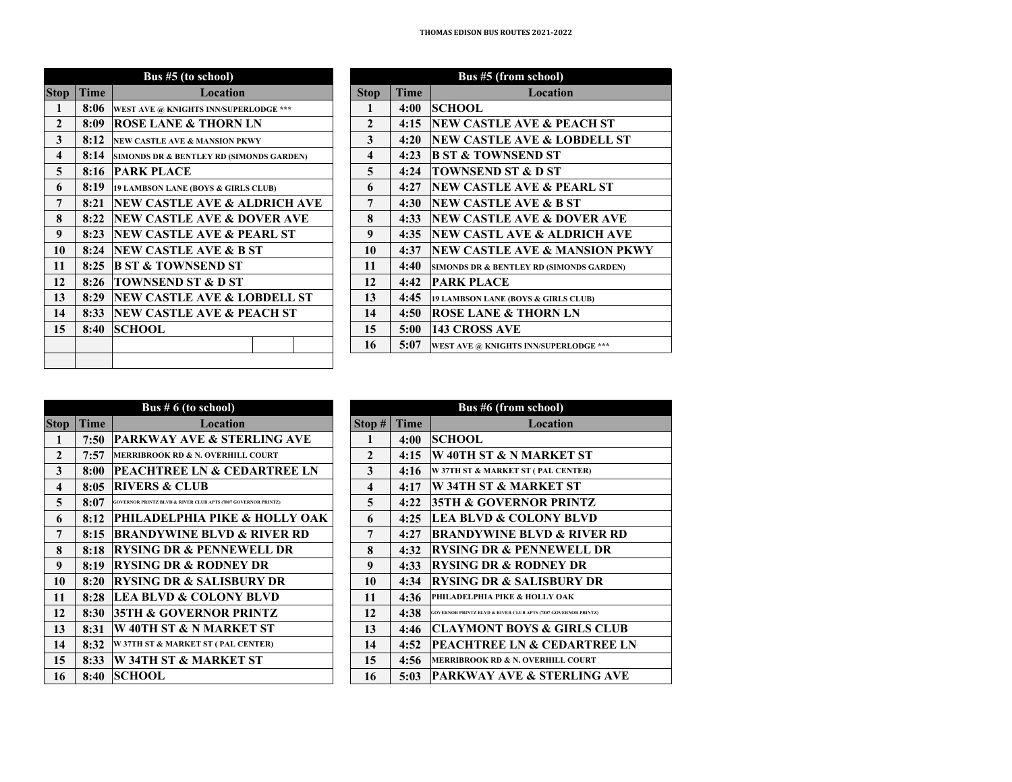| Bus #5 (to school)      |             |                                          |                         |             | Bus #5 (from school)                    |
|-------------------------|-------------|------------------------------------------|-------------------------|-------------|-----------------------------------------|
| <b>Stop</b>             | <b>Time</b> | Location                                 | <b>Stop</b>             | <b>Time</b> | Locati                                  |
| 1                       | 8:06        | WEST AVE @ KNIGHTS INN/SUPERLODGE ***    | 1                       | 4:00        | <b>SCHOOL</b>                           |
| $\mathbf{2}$            | 8:09        | <b>ROSE LANE &amp; THORN LN</b>          | $\mathbf{2}$            | 4:15        | <b>NEW CASTLE AVE &amp; P</b>           |
| 3                       | 8:12        | <b>NEW CASTLE AVE &amp; MANSION PKWY</b> | 3                       | 4:20        | <b>NEW CASTLE AVE &amp; I</b>           |
| $\overline{\mathbf{4}}$ | 8:14        | SIMONDS DR & BENTLEY RD (SIMONDS GARDEN) | $\overline{\mathbf{4}}$ | 4:23        | <b>B ST &amp; TOWNSEND ST</b>           |
| 5                       | 8:16        | <b>PARK PLACE</b>                        | 5                       | 4:24        | <b>TOWNSEND ST &amp; D ST</b>           |
| 6                       | 8:19        | 19 LAMBSON LANE (BOYS & GIRLS CLUB)      | 6                       | 4:27        | <b>INEW CASTLE AVE &amp; P</b>          |
| 7                       | 8:21        | NEW CASTLE AVE & ALDRICH AVE             | 7                       | 4:30        | <b>INEW CASTLE AVE &amp; E</b>          |
| 8                       | 8:22        | <b>INEW CASTLE AVE &amp; DOVER AVE</b>   | 8                       | 4:33        | <b>NEW CASTLE AVE &amp; I</b>           |
| 9                       | 8:23        | <b>NEW CASTLE AVE &amp; PEARL ST</b>     | 9                       | 4:35        | <b>INEW CASTL AVE &amp; AI</b>          |
| 10                      | 8:24        | <b>NEW CASTLE AVE &amp; B ST</b>         | 10                      | 4:37        | <b>NEW CASTLE AVE &amp; N</b>           |
| 11                      | 8:25        | <b>B ST &amp; TOWNSEND ST</b>            | 11                      | 4:40        | <b>SIMONDS DR &amp; BENTLEY RD (SIM</b> |
| 12                      | 8:26        | <b>TOWNSEND ST &amp; D ST</b>            | 12                      | 4:42        | <b>PARK PLACE</b>                       |
| 13                      | 8:29        | <b>NEW CASTLE AVE &amp; LOBDELL ST</b>   | 13                      | 4:45        | 19 LAMBSON LANE (BOYS & GIRI            |
| 14                      | 8:33        | <b>NEW CASTLE AVE &amp; PEACH ST</b>     | 14                      | 4:50        | <b>ROSE LANE &amp; THORN</b>            |
| 15                      | 8:40        | <b>SCHOOL</b>                            | 15                      | 5:00        | <b>143 CROSS AVE</b>                    |
|                         |             |                                          | 16                      | 5:07        | <b>WEST AVE @ KNIGHTS INN/SUPE</b>      |
|                         |             |                                          |                         |             |                                         |

| <b>Bus #5 (to school)</b>                |                     |             | <b>Bus #5 (from school)</b>              |
|------------------------------------------|---------------------|-------------|------------------------------------------|
| Location                                 | <b>Stop</b>         | <b>Time</b> | Location                                 |
| WEST AVE @ KNIGHTS INN/SUPERLODGE ***    | 1                   | 4:00        | <b>SCHOOL</b>                            |
| ROSE LANE & THORN LN                     | $\mathbf{2}$        | 4:15        | <b>NEW CASTLE AVE &amp; PEACH ST</b>     |
| NEW CASTLE AVE & MANSION PKWY            | 3                   | 4:20        | <b>NEW CASTLE AVE &amp; LOBDELL ST</b>   |
| SIMONDS DR & BENTLEY RD (SIMONDS GARDEN) | $\overline{\bf{4}}$ | 4:23        | <b>B ST &amp; TOWNSEND ST</b>            |
| PARK PLACE                               | 5                   | 4:24        | <b>TOWNSEND ST &amp; D ST</b>            |
| 19 LAMBSON LANE (BOYS & GIRLS CLUB)      | 6                   | 4:27        | NEW CASTLE AVE & PEARL ST                |
| NEW CASTLE AVE & ALDRICH AVE             | 7                   | 4:30        | <b>NEW CASTLE AVE &amp; B ST</b>         |
| NEW CASTLE AVE & DOVER AVE               | 8                   | 4:33        | NEW CASTLE AVE & DOVER AVE               |
| NEW CASTLE AVE & PEARL ST                | 9                   | 4:35        | NEW CASTL AVE & ALDRICH AVE              |
| <b>NEW CASTLE AVE &amp; B ST</b>         | 10                  | 4:37        | <b>NEW CASTLE AVE &amp; MANSION PKWY</b> |
| B ST & TOWNSEND ST                       | 11                  | 4:40        | SIMONDS DR & BENTLEY RD (SIMONDS GARDEN) |
| TOWNSEND ST & D ST                       | 12                  | 4:42        | <b>PARK PLACE</b>                        |
| <b>NEW CASTLE AVE &amp; LOBDELL ST</b>   | 13                  | 4:45        | 19 LAMBSON LANE (BOYS & GIRLS CLUB)      |
| NEW CASTLE AVE & PEACH ST                | 14                  | 4:50        | <b>ROSE LANE &amp; THORN LN</b>          |
| <b>SCHOOL</b>                            | 15                  | 5:00        | <b>143 CROSS AVE</b>                     |
|                                          | 16                  | 5:07        | WEST AVE @ KNIGHTS INN/SUPERLODGE ***    |
|                                          |                     |             |                                          |

|                |             | Bus $# 6$ (to school)                                                    |                     |      | <b>Bus</b>                |
|----------------|-------------|--------------------------------------------------------------------------|---------------------|------|---------------------------|
| <b>Stop</b>    | <b>Time</b> | Location                                                                 | Stop #              | Time |                           |
| 1              | 7:50        | <b>PARKWAY AVE &amp; STERLING AVE</b>                                    | 1                   | 4:00 | <b>SCHOOL</b>             |
| $\mathbf{2}$   | 7:57        | <b>MERRIBROOK RD &amp; N. OVERHILL COURT</b>                             | $\mathbf{2}$        | 4:15 | IW 40TH S                 |
| 3              | 8:00        | <b>PEACHTREE LN &amp; CEDARTREE LN</b>                                   | 3                   | 4:16 | <b>W 37TH ST &amp;</b>    |
| $\overline{4}$ | 8:05        | <b>RIVERS &amp; CLUB</b>                                                 | $\overline{\bf{4}}$ | 4:17 | W 34TH 9                  |
| 5              | 8:07        | <b>GOVERNOR PRINTZ BLVD &amp; RIVER CLUB APTS (7807 GOVERNOR PRINTZ)</b> | 5                   | 4:22 | 35TH & C                  |
| 6              | 8:12        | PHILADELPHIA PIKE & HOLLY OAK                                            | 6                   | 4:25 | <b>LEA BLV</b>            |
| 7              | 8:15        | <b>BRANDYWINE BLVD &amp; RIVER RD</b>                                    | 7                   | 4:27 | <b>BRANDY</b>             |
| 8              | 8:18        | <b>RYSING DR &amp; PENNEWELL DR</b>                                      | 8                   | 4:32 | <b>RYSING</b>             |
| 9              | 8:19        | <b>RYSING DR &amp; RODNEY DR</b>                                         | 9                   | 4:33 | <b>RYSING</b>             |
| 10             | 8:20        | <b>RYSING DR &amp; SALISBURY DR</b>                                      | 10                  | 4:34 | <b>RYSING</b>             |
| 11             | 8:28        | <b>LEA BLVD &amp; COLONY BLVD</b>                                        | 11                  | 4:36 | <b>PHILADELPH</b>         |
| 12             | 8:30        | 35TH & GOVERNOR PRINTZ                                                   | 12                  | 4:38 | <b>GOVERNOR PRINTZ BI</b> |
| 13             | 8:31        | W 40TH ST & N MARKET ST                                                  | 13                  | 4:46 | CLAYMO                    |
| 14             | 8:32        | W 37TH ST & MARKET ST (PAL CENTER)                                       | 14                  | 4:52 | <b>PEACHT</b>             |
| 15             | 8:33        | <b>W34TH ST &amp; MARKET ST</b>                                          | 15                  | 4:56 | <b>MERRIBROO</b>          |
| 16             | 8:40        | <b>SCHOOL</b>                                                            | 16                  | 5:03 | <b>PARKWA</b>             |

| Bus $# 6$ (to school)                                         |              |             | <b>Bus #6 (from school)</b>                                              |
|---------------------------------------------------------------|--------------|-------------|--------------------------------------------------------------------------|
| Location                                                      | Stop#        | <b>Time</b> | <b>Location</b>                                                          |
| PARKWAY AVE & STERLING AVE                                    | 1            | 4:00        | <b>SCHOOL</b>                                                            |
| <b>MERRIBROOK RD &amp; N. OVERHILL COURT</b>                  | $\mathbf{2}$ | 4:15        | W 40TH ST & N MARKET ST                                                  |
| <b>PEACHTREE LN &amp; CEDARTREE LN</b>                        | 3            | 4:16        | W 37TH ST & MARKET ST (PAL CENTER)                                       |
| <b>RIVERS &amp; CLUB</b>                                      | 4            | 4:17        | <b>W34TH ST &amp; MARKET ST</b>                                          |
| GOVERNOR PRINTZ BLVD & RIVER CLUB APTS (7807 GOVERNOR PRINTZ) | 5            | 4:22        | <b>35TH &amp; GOVERNOR PRINTZ</b>                                        |
| PHILADELPHIA PIKE & HOLLY OAK                                 | 6            | 4:25        | <b>LEA BLVD &amp; COLONY BLVD</b>                                        |
| <b>BRANDYWINE BLVD &amp; RIVER RD</b>                         | 7            | 4:27        | <b>BRANDYWINE BLVD &amp; RIVER RD</b>                                    |
| <b>RYSING DR &amp; PENNEWELL DR</b>                           | 8            | 4:32        | <b>RYSING DR &amp; PENNEWELL DR</b>                                      |
| <b>RYSING DR &amp; RODNEY DR</b>                              | 9            | 4:33        | <b>RYSING DR &amp; RODNEY DR</b>                                         |
| <b>RYSING DR &amp; SALISBURY DR</b>                           | 10           | 4:34        | <b>RYSING DR &amp; SALISBURY DR</b>                                      |
| <b>LEA BLVD &amp; COLONY BLVD</b>                             | 11           | 4:36        | <b>PHILADELPHIA PIKE &amp; HOLLY OAK</b>                                 |
| <b>35TH &amp; GOVERNOR PRINTZ</b>                             | 12           | 4:38        | <b>GOVERNOR PRINTZ BLVD &amp; RIVER CLUB APTS (7807 GOVERNOR PRINTZ)</b> |
| W 40TH ST & N MARKET ST                                       | 13           | 4:46        | <b>CLAYMONT BOYS &amp; GIRLS CLUB</b>                                    |
| W 37TH ST & MARKET ST ( PAL CENTER)                           | 14           | 4:52        | <b>PEACHTREE LN &amp; CEDARTREE LN</b>                                   |
| <b>W34TH ST &amp; MARKET ST</b>                               | 15           | 4:56        | MERRIBROOK RD & N. OVERHILL COURT                                        |
| <b>SCHOOL</b>                                                 | 16           | 5:03        | <b>PARKWAY AVE &amp; STERLING AVE</b>                                    |
|                                                               |              |             |                                                                          |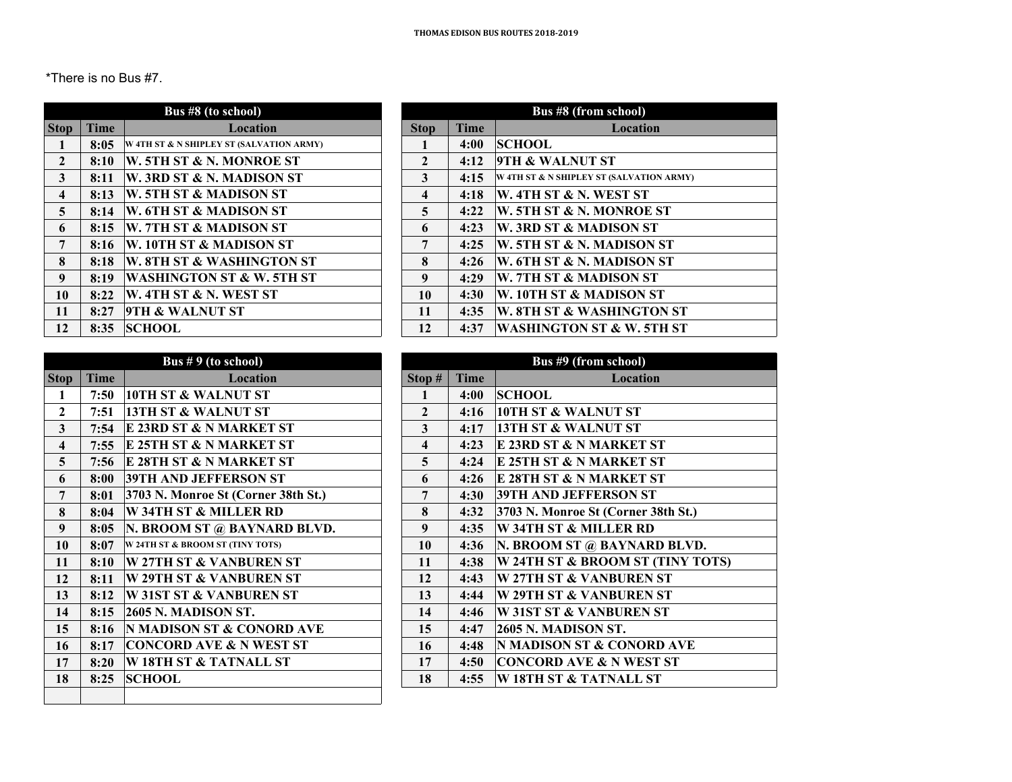\*There is no Bus #7.

| <b>Stop</b>             | <b>Time</b> | Location                                 | <b>Stop</b>             | <b>Time</b> |
|-------------------------|-------------|------------------------------------------|-------------------------|-------------|
| 1                       | 8:05        | W 4TH ST & N SHIPLEY ST (SALVATION ARMY) | 1                       | 4:00        |
| $\overline{2}$          | 8:10        | W. 5TH ST & N. MONROE ST                 | $\mathbf{2}$            | 4:12        |
| 3                       | 8:11        | W. 3RD ST & N. MADISON ST                | 3                       | 4:15        |
| $\overline{\mathbf{4}}$ | 8:13        | W. 5TH ST & MADISON ST                   | $\overline{\mathbf{4}}$ | 4:18        |
| 5                       | 8:14        | W. 6TH ST & MADISON ST                   | 5                       | 4:22        |
| 6                       | 8:15        | W. 7TH ST & MADISON ST                   | 6                       | 4:23        |
| 7                       | 8:16        | W. 10TH ST & MADISON ST                  | 7                       | 4:25        |
| 8                       | 8:18        | W. 8TH ST & WASHINGTON ST                | 8                       | 4:26        |
| $\boldsymbol{Q}$        | 8:19        | <b>WASHINGTON ST &amp; W. 5TH ST</b>     | $\boldsymbol{Q}$        | 4:29        |
| 10                      | 8:22        | W. 4TH ST & N. WEST ST                   | 10                      | 4:30        |
| 11                      | 8:27        | <b>9TH &amp; WALNUT ST</b>               | 11                      | 4:35        |
| 12                      | 8:35        | <b>SCHOOL</b>                            | 12                      | 4:37        |

| us #8 (to school)                    |              | Bus #8 (from school) |                                          |  |  |  |
|--------------------------------------|--------------|----------------------|------------------------------------------|--|--|--|
| Location                             | <b>Stop</b>  | <b>Time</b>          | Location                                 |  |  |  |
| <b>N SHIPLEY ST (SALVATION ARMY)</b> |              | 4:00                 | <b>SCHOOL</b>                            |  |  |  |
| <b>ST &amp; N. MONROE ST</b>         | $\mathbf{2}$ | 4:12                 | <b>9TH &amp; WALNUT ST</b>               |  |  |  |
| <b>ST &amp; N. MADISON ST</b>        | 3            | 4:15                 | W 4TH ST & N SHIPLEY ST (SALVATION ARMY) |  |  |  |
| <b>ST &amp; MADISON ST</b>           | 4            | 4:18                 | <b>W. 4TH ST &amp; N. WEST ST</b>        |  |  |  |
| <b>ST &amp; MADISON ST</b>           | 5            | 4:22                 | W. 5TH ST & N. MONROE ST                 |  |  |  |
| <b>ST &amp; MADISON ST</b>           | 6            | 4:23                 | W. 3RD ST & MADISON ST                   |  |  |  |
| <b>I ST &amp; MADISON ST</b>         | 7            | 4:25                 | <b>W. 5TH ST &amp; N. MADISON ST</b>     |  |  |  |
| <b>ST &amp; WASHINGTON ST</b>        | 8            | 4:26                 | <b>W. 6TH ST &amp; N. MADISON ST</b>     |  |  |  |
| NGTON ST & W. 5TH ST                 | 9            | 4:29                 | W. 7TH ST & MADISON ST                   |  |  |  |
| ST & N. WEST ST                      | 10           | 4:30                 | W. 10TH ST & MADISON ST                  |  |  |  |
| <b>WALNUT ST</b>                     | 11           | 4:35                 | W. 8TH ST & WASHINGTON ST                |  |  |  |
| L                                    | 12           | 4:37                 | <b>WASHINGTON ST &amp; W. 5TH ST</b>     |  |  |  |

|                         |             | Bus $# 9$ (to school)                |                         |      |
|-------------------------|-------------|--------------------------------------|-------------------------|------|
| <b>Stop</b>             | <b>Time</b> | Location                             | Stop #                  | Time |
| 1                       | 7:50        | <b>10TH ST &amp; WALNUT ST</b>       | 1                       | 4:00 |
| $\mathbf{2}$            | 7:51        | <b>13TH ST &amp; WALNUT ST</b>       | $\mathbf{2}$            | 4:16 |
| $\overline{\mathbf{3}}$ | 7:54        | E 23RD ST & N MARKET ST              | 3                       | 4:17 |
| $\overline{\mathbf{4}}$ | 7:55        | E 25TH ST & N MARKET ST              | $\overline{\mathbf{4}}$ | 4:23 |
| 5                       | 7:56        | E 28TH ST & N MARKET ST              | 5                       | 4:24 |
| 6                       | 8:00        | <b>39TH AND JEFFERSON ST</b>         | 6                       | 4:26 |
| 7                       | 8:01        | 3703 N. Monroe St (Corner 38th St.)  | 7                       | 4:30 |
| 8                       | 8:04        | W 34TH ST & MILLER RD                | 8                       | 4:32 |
| 9                       | 8:05        | N. BROOM ST @ BAYNARD BLVD.          | 9                       | 4:35 |
| 10                      | 8:07        | W 24TH ST & BROOM ST (TINY TOTS)     | 10                      | 4:36 |
| 11                      | 8:10        | W 27TH ST & VANBUREN ST              | 11                      | 4:38 |
| 12                      | 8:11        | W 29TH ST & VANBUREN ST              | 12                      | 4:43 |
| 13                      | 8:12        | <b>W31ST ST &amp; VANBUREN ST</b>    | 13                      | 4:44 |
| 14                      | 8:15        | 2605 N. MADISON ST.                  | 14                      | 4:46 |
| 15                      | 8:16        | <b>N MADISON ST &amp; CONORD AVE</b> | 15                      | 4:47 |
| 16                      | 8:17        | <b>CONCORD AVE &amp; N WEST ST</b>   | 16                      | 4:48 |
| 17                      | 8:20        | W 18TH ST & TATNALL ST               | 17                      | 4:50 |
| 18                      | 8:25        | <b>SCHOOL</b>                        | 18                      | 4:55 |
|                         |             |                                      |                         |      |

|                         |             | <b>Bus #9 (from school)</b>          |
|-------------------------|-------------|--------------------------------------|
| Stop#                   | <b>Time</b> | <b>Location</b>                      |
| 1                       | 4:00        | <b>SCHOOL</b>                        |
| $\mathbf{2}$            | 4:16        | <b>10TH ST &amp; WALNUT ST</b>       |
| 3                       | 4:17        | <b>13TH ST &amp; WALNUT ST</b>       |
| $\overline{\mathbf{4}}$ | 4:23        | E 23RD ST & N MARKET ST              |
| 5                       | 4:24        | E 25TH ST & N MARKET ST              |
| 6                       | 4:26        | E 28TH ST & N MARKET ST              |
| 7                       | 4:30        | <b>39TH AND JEFFERSON ST</b>         |
| 8                       | 4:32        | 3703 N. Monroe St (Corner 38th St.)  |
| 9                       | 4:35        | W 34TH ST & MILLER RD                |
| 10                      | 4:36        | N. BROOM ST @ BAYNARD BLVD.          |
| 11                      | 4:38        | W 24TH ST & BROOM ST (TINY TOTS)     |
| 12                      | 4:43        | W 27TH ST & VANBUREN ST              |
| 13                      | 4:44        | W 29TH ST & VANBUREN ST              |
| 14                      | 4:46        | <b>W31ST ST &amp; VANBUREN ST</b>    |
| 15                      | 4:47        | <b>2605 N. MADISON ST.</b>           |
| 16                      | 4:48        | <b>N MADISON ST &amp; CONORD AVE</b> |
| 17                      | 4:50        | <b>CONCORD AVE &amp; N WEST ST</b>   |
| 18                      | 4:55        | W 18TH ST & TATNALL ST               |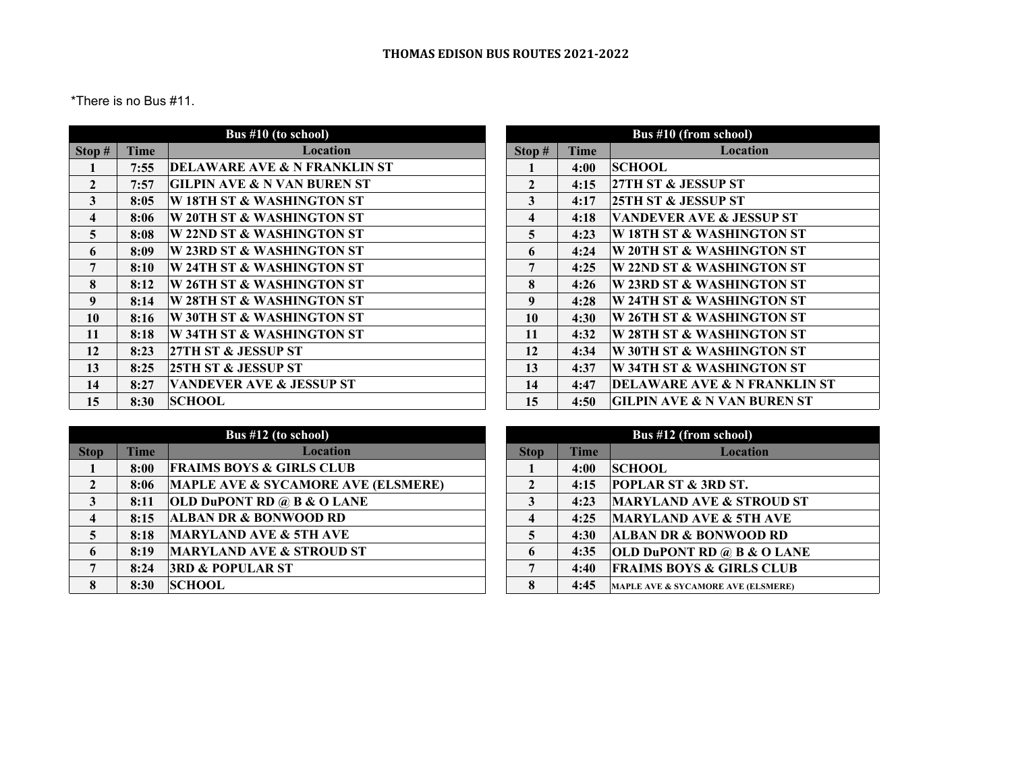\*There is no Bus #11.

|                         |      | Bus $#10$ (to school)                   |                         |             | Bus #10 (from school)           |
|-------------------------|------|-----------------------------------------|-------------------------|-------------|---------------------------------|
| Stop #                  | Time | Location                                | Stop#                   | <b>Time</b> | Locat                           |
|                         | 7:55 | <b>DELAWARE AVE &amp; N FRANKLIN ST</b> |                         | 4:00        | <b>SCHOOL</b>                   |
| $\mathbf{2}$            | 7:57 | GILPIN AVE & N VAN BUREN ST             | $\overline{2}$          | 4:15        | 27TH ST & JESSUP ST             |
| 3                       | 8:05 | W 18TH ST & WASHINGTON ST               | 3                       | 4:17        | <b>25TH ST &amp; JESSUP ST</b>  |
| $\overline{\mathbf{4}}$ | 8:06 | W 20TH ST & WASHINGTON ST               | $\overline{\mathbf{4}}$ | 4:18        | <b>VANDEVER AVE &amp; JES</b>   |
| $\overline{5}$          | 8:08 | W 22ND ST & WASHINGTON ST               | $\overline{5}$          | 4:23        | W 18TH ST & WASHIN              |
| 6                       | 8:09 | <b>W 23RD ST &amp; WASHINGTON ST</b>    | 6                       | 4:24        | W 20TH ST & WASHIN              |
| 7                       | 8:10 | W 24TH ST & WASHINGTON ST               | 7                       | 4:25        | W 22ND ST & WASHIN              |
| 8                       | 8:12 | W 26TH ST & WASHINGTON ST               | 8                       | 4:26        | W 23RD ST & WASHIN              |
| 9                       | 8:14 | W 28TH ST & WASHINGTON ST               | 9                       | 4:28        | W 24TH ST & WASHIN              |
| 10                      | 8:16 | W 30TH ST & WASHINGTON ST               | 10                      | 4:30        | W 26TH ST & WASHIN              |
| 11                      | 8:18 | W 34TH ST & WASHINGTON ST               | 11                      | 4:32        | W 28TH ST & WASHIN              |
| 12                      | 8:23 | <b>27TH ST &amp; JESSUP ST</b>          | 12                      | 4:34        | W 30TH ST & WASHIN              |
| 13                      | 8:25 | 25TH ST & JESSUP ST                     | 13                      | 4:37        | W 34TH ST & WASHIN              |
| 14                      | 8:27 | <b>VANDEVER AVE &amp; JESSUP ST</b>     | 14                      | 4:47        | <b>DELAWARE AVE &amp; N</b> I   |
| 15                      | 8:30 | <b>SCHOOL</b>                           | 15                      | 4:50        | <b>GILPIN AVE &amp; N VAN</b> 1 |
|                         |      |                                         |                         |             |                                 |

| Bus #10 (from school)   |      |                                        |  |  |
|-------------------------|------|----------------------------------------|--|--|
| Stop #                  | Time | Location                               |  |  |
| 1                       | 4:00 | <b>SCHOOL</b>                          |  |  |
| $\mathbf{2}$            | 4:15 | 27TH ST & JESSUP ST                    |  |  |
| 3                       | 4:17 | 25TH ST & JESSUP ST                    |  |  |
| $\overline{\mathbf{4}}$ | 4:18 | VANDEVER AVE & JESSUP ST               |  |  |
| 5                       | 4:23 | W 18TH ST & WASHINGTON ST              |  |  |
| 6                       | 4:24 | W 20TH ST & WASHINGTON ST              |  |  |
| 7                       | 4:25 | W 22ND ST & WASHINGTON ST              |  |  |
| 8                       | 4:26 | W 23RD ST & WASHINGTON ST              |  |  |
| 9                       | 4:28 | W 24TH ST & WASHINGTON ST              |  |  |
| 10                      | 4:30 | W 26TH ST & WASHINGTON ST              |  |  |
| 11                      | 4:32 | W 28TH ST & WASHINGTON ST              |  |  |
| 12                      | 4:34 | W 30TH ST & WASHINGTON ST              |  |  |
| 13                      | 4:37 | W 34TH ST & WASHINGTON ST              |  |  |
| 14                      | 4:47 | DELAWARE AVE & N FRANKLIN ST           |  |  |
| 15                      | 4:50 | <b>GILPIN AVE &amp; N VAN BUREN ST</b> |  |  |

|                         |             | Bus #12 (to school)                           |                         |             |
|-------------------------|-------------|-----------------------------------------------|-------------------------|-------------|
| <b>Stop</b>             | <b>Time</b> | <b>Location</b>                               | <b>Stop</b>             | <b>Time</b> |
|                         | 8:00        | <b>FRAIMS BOYS &amp; GIRLS CLUB</b>           |                         | 4:00        |
| $\mathbf{2}$            | 8:06        | <b>MAPLE AVE &amp; SYCAMORE AVE (ELSMERE)</b> | $\mathbf{2}$            | 4:15        |
| 3                       | 8:11        | <b>OLD DUPONT RD @ B &amp; O LANE</b>         | 3                       | 4:23        |
| $\overline{\mathbf{4}}$ | 8:15        | <b>ALBAN DR &amp; BONWOOD RD</b>              | $\overline{\mathbf{4}}$ | 4:25        |
|                         | 8:18        | <b>MARYLAND AVE &amp; 5TH AVE</b>             | 5                       | 4:30        |
| 6                       | 8:19        | <b>MARYLAND AVE &amp; STROUD ST</b>           | 6                       | 4:35        |
| 7                       | 8:24        | <b>3RD &amp; POPULAR ST</b>                   | 7                       | 4:40        |
| 8                       | 8:30        | <b>SCHOOL</b>                                 | 8                       | 4:45        |

| Bus #12 (from school) |      |                                       |  |  |  |
|-----------------------|------|---------------------------------------|--|--|--|
| <b>Stop</b>           | Time | Location                              |  |  |  |
|                       | 4:00 | <b>SCHOOL</b>                         |  |  |  |
| $\mathbf{2}$          | 4:15 | POPLAR ST & 3RD ST.                   |  |  |  |
| 3                     | 4:23 | <b>MARYLAND AVE &amp; STROUD ST</b>   |  |  |  |
| 4                     | 4:25 | <b>MARYLAND AVE &amp; 5TH AVE</b>     |  |  |  |
| 5                     | 4:30 | <b>ALBAN DR &amp; BONWOOD RD</b>      |  |  |  |
| 6                     | 4:35 | <b>OLD DUPONT RD @ B &amp; O LANE</b> |  |  |  |
| 7                     | 4:40 | <b>FRAIMS BOYS &amp; GIRLS CLUB</b>   |  |  |  |
| 8                     | 4:45 | MAPLE AVE & SYCAMORE AVE (ELSMERE)    |  |  |  |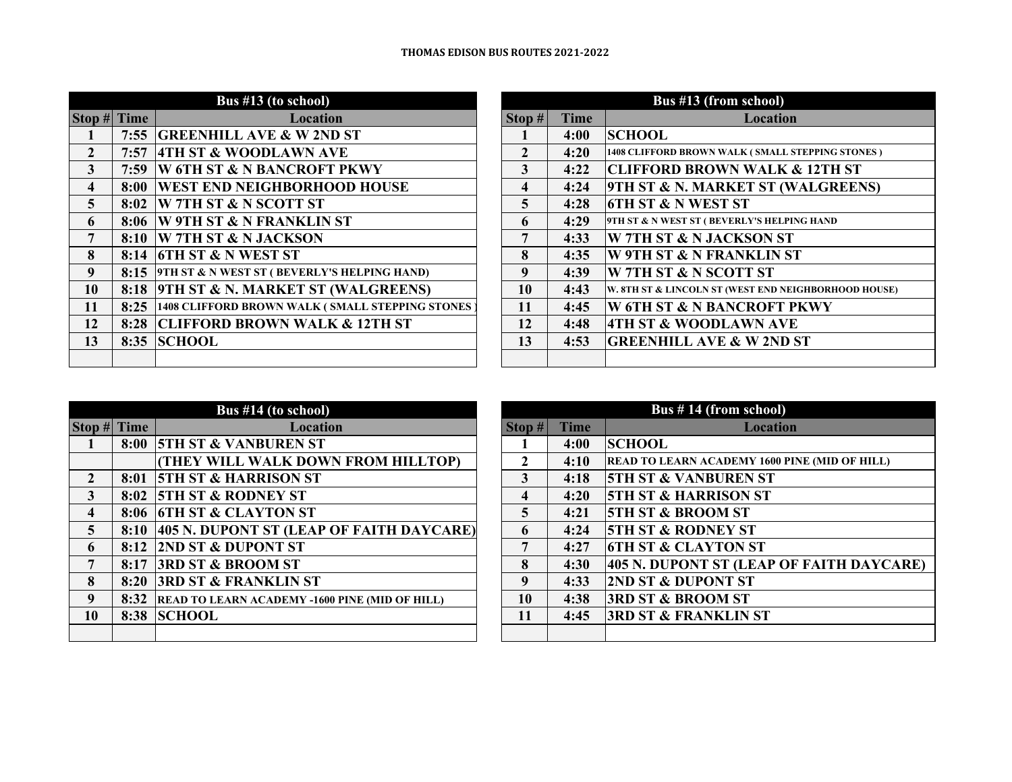## **THOMAS EDISON BUS ROUTES 2021‐2022**

| $Stop #$ Time           |      | <b>Location</b>                                        | Stop #       | <b>Time</b> |
|-------------------------|------|--------------------------------------------------------|--------------|-------------|
| 1                       | 7:55 | <b>GREENHILL AVE &amp; W 2ND ST</b>                    |              | 4:00        |
| $\overline{2}$          | 7:57 | <b>4TH ST &amp; WOODLAWN AVE</b>                       | $\mathbf{2}$ | 4:20        |
| $\overline{\mathbf{3}}$ | 7:59 | W 6TH ST & N BANCROFT PKWY                             | 3            | 4:22        |
| $\overline{\mathbf{4}}$ | 8:00 | <b>WEST END NEIGHBORHOOD HOUSE</b>                     | 4            | 4:24        |
| 5                       | 8:02 | <b>W 7TH ST &amp; N SCOTT ST</b>                       | 5            | 4:28        |
| 6                       | 8:06 | <b>W 9TH ST &amp; N FRANKLIN ST</b>                    | 6            | 4:29        |
| 7                       | 8:10 | <b>W 7TH ST &amp; N JACKSON</b>                        | 7            | 4:33        |
| 8                       | 8:14 | <b>6TH ST &amp; N WEST ST</b>                          | 8            | 4:35        |
| 9                       | 8:15 | <b>9TH ST &amp; N WEST ST (BEVERLY'S HELPING HAND)</b> | 9            | 4:39        |
| 10                      | 8:18 | <b>9TH ST &amp; N. MARKET ST (WALGREENS)</b>           | 10           | 4:43        |
| 11                      | 8:25 | 1408 CLIFFORD BROWN WALK (SMALL STEPPING STONES        | 11           | 4:45        |
| 12                      | 8:28 | <b>CLIFFORD BROWN WALK &amp; 12TH ST</b>               | 12           | 4:48        |
| 13                      | 8:35 | <b>SCHOOL</b>                                          | 13           | 4:53        |
|                         |      |                                                        |              |             |

|                  | Bus #13 (from school) |                                                      |  |  |  |
|------------------|-----------------------|------------------------------------------------------|--|--|--|
| Stop#            | <b>Time</b>           | Location                                             |  |  |  |
| 1                | 4:00                  | <b>SCHOOL</b>                                        |  |  |  |
| $\mathfrak{D}$   | 4:20                  | 1408 CLIFFORD BROWN WALK (SMALL STEPPING STONES)     |  |  |  |
| 3                | 4:22                  | CLIFFORD BROWN WALK & 12TH ST                        |  |  |  |
| $\boldsymbol{4}$ | 4:24                  | 9TH ST & N. MARKET ST (WALGREENS)                    |  |  |  |
| 5                | 4:28                  | <b>6TH ST &amp; N WEST ST</b>                        |  |  |  |
| 6                | 4:29                  | 9TH ST & N WEST ST (BEVERLY'S HELPING HAND           |  |  |  |
| 7                | 4:33                  | <b>W 7TH ST &amp; N JACKSON ST</b>                   |  |  |  |
| 8                | 4:35                  | W 9TH ST & N FRANKLIN ST                             |  |  |  |
| 9                | 4:39                  | W 7TH ST & N SCOTT ST                                |  |  |  |
| 10               | 4:43                  | W. 8TH ST & LINCOLN ST (WEST END NEIGHBORHOOD HOUSE) |  |  |  |
| 11               | 4:45                  | W 6TH ST & N BANCROFT PKWY                           |  |  |  |
| 12               | 4:48                  | <b>4TH ST &amp; WOODLAWN AVE</b>                     |  |  |  |
| 13               | 4:53                  | <b>GREENHILL AVE &amp; W 2ND ST</b>                  |  |  |  |
|                  |                       |                                                      |  |  |  |

|                  |      | Bus #14 (to school)                                   |                         |             |
|------------------|------|-------------------------------------------------------|-------------------------|-------------|
| Stop # Time      |      | Location                                              | Stop #                  | <b>Time</b> |
|                  | 8:00 | <b>5TH ST &amp; VANBUREN ST</b>                       |                         | 4:00        |
|                  |      | (THEY WILL WALK DOWN FROM HILLTOP)                    | $\overline{2}$          | 4:10        |
| $\overline{2}$   | 8:01 | <b>5TH ST &amp; HARRISON ST</b>                       | 3                       | 4:18        |
| 3                | 8:02 | <b>5TH ST &amp; RODNEY ST</b>                         | $\boldsymbol{4}$        | 4:20        |
| $\boldsymbol{4}$ | 8:06 | <b>6TH ST &amp; CLAYTON ST</b>                        | $\overline{\mathbf{5}}$ | 4:21        |
| 5                | 8:10 | 405 N. DUPONT ST (LEAP OF FAITH DAYCARE)              | 6                       | 4:24        |
| 6                | 8:12 | <b>2ND ST &amp; DUPONT ST</b>                         | 7                       | 4:27        |
| 7                | 8:17 | <b>3RD ST &amp; BROOM ST</b>                          | 8                       | 4:30        |
| 8                | 8:20 | <b>3RD ST &amp; FRANKLIN ST</b>                       | 9                       | 4:33        |
| 9                | 8:32 | <b>READ TO LEARN ACADEMY -1600 PINE (MID OF HILL)</b> | 10                      | 4:38        |
| 10               | 8:38 | <b>SCHOOL</b>                                         | 11                      | 4:45        |
|                  |      |                                                       |                         |             |

| Bus #14 (to school)                                   |       |             | Bus $# 14$ (from school)                             |
|-------------------------------------------------------|-------|-------------|------------------------------------------------------|
| <b>Location</b>                                       | Stop# | <b>Time</b> | <b>Location</b>                                      |
| <b>5TH ST &amp; VANBUREN ST</b>                       |       | 4:00        | <b>SCHOOL</b>                                        |
| (THEY WILL WALK DOWN FROM HILLTOP)                    |       | 4:10        | <b>READ TO LEARN ACADEMY 1600 PINE (MID OF HILL)</b> |
| <b>5TH ST &amp; HARRISON ST</b>                       | 3     | 4:18        | <b>5TH ST &amp; VANBUREN ST</b>                      |
| <b>5TH ST &amp; RODNEY ST</b>                         | 4     | 4:20        | <b>5TH ST &amp; HARRISON ST</b>                      |
| <b>6TH ST &amp; CLAYTON ST</b>                        | 5     | 4:21        | <b>5TH ST &amp; BROOM ST</b>                         |
| 405 N. DUPONT ST (LEAP OF FAITH DAYCARE)              | 6     | 4:24        | <b>5TH ST &amp; RODNEY ST</b>                        |
| 2ND ST & DUPONT ST                                    | 7     | 4:27        | <b>6TH ST &amp; CLAYTON ST</b>                       |
| <b>3RD ST &amp; BROOM ST</b>                          | 8     | 4:30        | 405 N. DUPONT ST (LEAP OF FAITH DAYCARE)             |
| <b>3RD ST &amp; FRANKLIN ST</b>                       | 9     | 4:33        | <b>2ND ST &amp; DUPONT ST</b>                        |
| <b>READ TO LEARN ACADEMY -1600 PINE (MID OF HILL)</b> | 10    | 4:38        | <b>3RD ST &amp; BROOM ST</b>                         |
| <b>SCHOOL</b>                                         | 11    | 4:45        | <b>3RD ST &amp; FRANKLIN ST</b>                      |
|                                                       |       |             |                                                      |